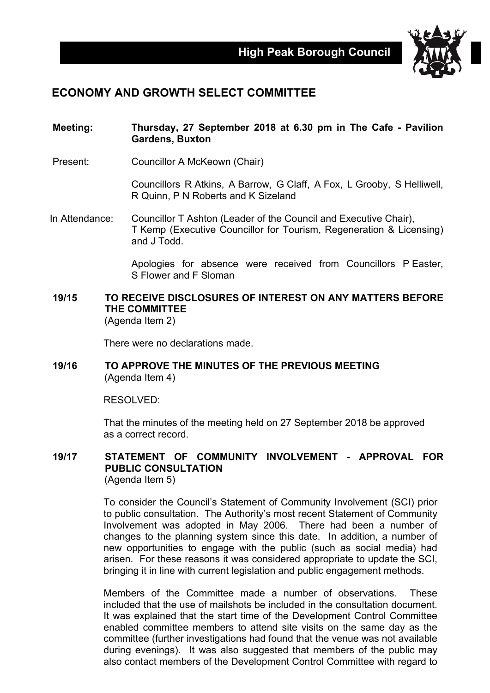

## **ECONOMY AND GROWTH SELECT COMMITTEE**

#### **Meeting: Thursday, 27 September 2018 at 6.30 pm in The Cafe - Pavilion Gardens, Buxton**

Present: Councillor A McKeown (Chair)

Councillors R Atkins, A Barrow, G Claff, A Fox, L Grooby, S Helliwell, R Quinn, P N Roberts and K Sizeland

In Attendance: Councillor T Ashton (Leader of the Council and Executive Chair), T Kemp (Executive Councillor for Tourism, Regeneration & Licensing) and J Todd.

> Apologies for absence were received from Councillors P Easter, S Flower and F Sloman

#### **19/15 TO RECEIVE DISCLOSURES OF INTEREST ON ANY MATTERS BEFORE THE COMMITTEE** (Agenda Item 2)

There were no declarations made.

#### **19/16 TO APPROVE THE MINUTES OF THE PREVIOUS MEETING** (Agenda Item 4)

RESOLVED:

That the minutes of the meeting held on 27 September 2018 be approved as a correct record.

#### **19/17 STATEMENT OF COMMUNITY INVOLVEMENT - APPROVAL FOR PUBLIC CONSULTATION** (Agenda Item 5)

To consider the Council's Statement of Community Involvement (SCI) prior to public consultation. The Authority's most recent Statement of Community Involvement was adopted in May 2006. There had been a number of changes to the planning system since this date. In addition, a number of new opportunities to engage with the public (such as social media) had arisen. For these reasons it was considered appropriate to update the SCI, bringing it in line with current legislation and public engagement methods.

Members of the Committee made a number of observations. These included that the use of mailshots be included in the consultation document. It was explained that the start time of the Development Control Committee enabled committee members to attend site visits on the same day as the committee (further investigations had found that the venue was not available during evenings). It was also suggested that members of the public may also contact members of the Development Control Committee with regard to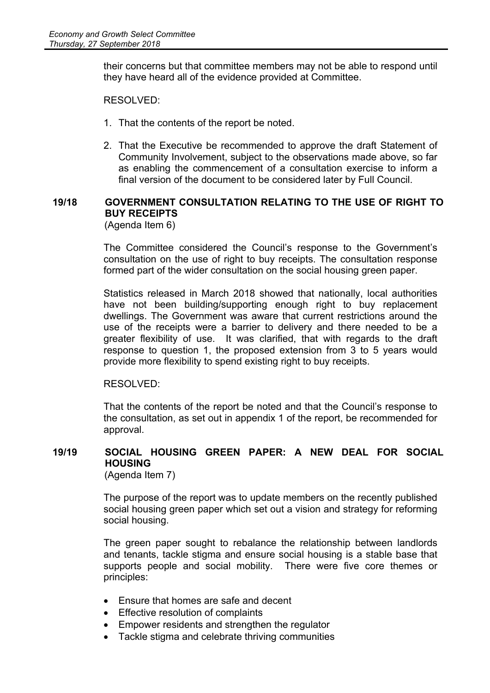their concerns but that committee members may not be able to respond until they have heard all of the evidence provided at Committee.

RESOLVED:

- 1. That the contents of the report be noted.
- 2. That the Executive be recommended to approve the draft Statement of Community Involvement, subject to the observations made above, so far as enabling the commencement of a consultation exercise to inform a final version of the document to be considered later by Full Council.

#### **19/18 GOVERNMENT CONSULTATION RELATING TO THE USE OF RIGHT TO BUY RECEIPTS** (Agenda Item 6)

The Committee considered the Council's response to the Government's consultation on the use of right to buy receipts. The consultation response formed part of the wider consultation on the social housing green paper.

Statistics released in March 2018 showed that nationally, local authorities have not been building/supporting enough right to buy replacement dwellings. The Government was aware that current restrictions around the use of the receipts were a barrier to delivery and there needed to be a greater flexibility of use. It was clarified, that with regards to the draft response to question 1, the proposed extension from 3 to 5 years would provide more flexibility to spend existing right to buy receipts.

RESOLVED:

That the contents of the report be noted and that the Council's response to the consultation, as set out in appendix 1 of the report, be recommended for approval.

## **19/19 SOCIAL HOUSING GREEN PAPER: A NEW DEAL FOR SOCIAL HOUSING**

(Agenda Item 7)

The purpose of the report was to update members on the recently published social housing green paper which set out a vision and strategy for reforming social housing.

The green paper sought to rebalance the relationship between landlords and tenants, tackle stigma and ensure social housing is a stable base that supports people and social mobility. There were five core themes or principles:

- Ensure that homes are safe and decent
- Effective resolution of complaints
- Empower residents and strengthen the regulator
- Tackle stigma and celebrate thriving communities